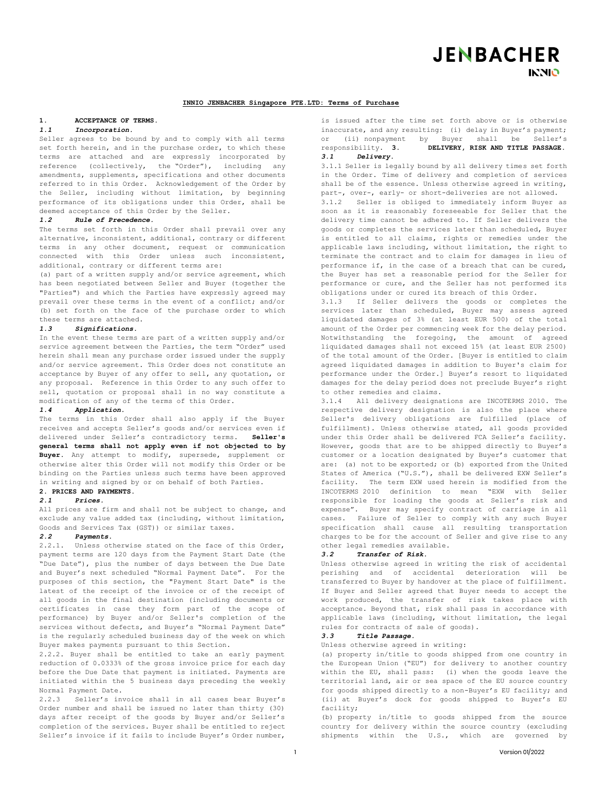# **JENBACHER INNIO**

## **INNIO JENBACHER Singapore PTE.LTD: Terms of Purchase**

# 1. **ACCEPTANCE OF TERMS.**

## *1.1 Incorporation.*

Seller agrees to be bound by and to comply with all terms set forth herein, and in the purchase order, to which these terms are attached and are expressly incorporated by reference (collectively, the "Order"), including any amendments, supplements, specifications and other documents referred to in this Order. Acknowledgement of the Order by the Seller, including without limitation, by beginning performance of its obligations under this Order, shall be deemed acceptance of this Order by the Seller.

#### *1.2 Rule of Precedence.*

The terms set forth in this Order shall prevail over any alternative, inconsistent, additional, contrary or different terms in any other document, request or communication connected with this Order unless such inconsistent, additional, contrary or different terms are:

(a) part of a written supply and/or service agreement, which has been negotiated between Seller and Buyer (together the "Parties") and which the Parties have expressly agreed may prevail over these terms in the event of a conflict; and/or (b) set forth on the face of the purchase order to which these terms are attached.

#### *1.3 Significations.*

In the event these terms are part of a written supply and/or service agreement between the Parties, the term "Order" used herein shall mean any purchase order issued under the supply and/or service agreement. This Order does not constitute an acceptance by Buyer of any offer to sell, any quotation, or any proposal. Reference in this Order to any such offer to sell, quotation or proposal shall in no way constitute a modification of any of the terms of this Order.

#### *1.4 Application.*

The terms in this Order shall also apply if the Buyer receives and accepts Seller's goods and/or services even if delivered under Seller's contradictory terms. **Seller's general terms shall not apply even if not objected to by Buyer.** Any attempt to modify, supersede, supplement or otherwise alter this Order will not modify this Order or be binding on the Parties unless such terms have been approved in writing and signed by or on behalf of both Parties.

# **2. PRICES AND PAYMENTS.**

# *2.1 Prices.*

All prices are firm and shall not be subject to change, and exclude any value added tax (including, without limitation, Goods and Services Tax (GST)) or similar taxes.

## *2.2 Payments.*

2.2.1. Unless otherwise stated on the face of this Order, payment terms are 120 days from the Payment Start Date (the "Due Date"), plus the number of days between the Due Date and Buyer's next scheduled "Normal Payment Date". For the purposes of this section, the "Payment Start Date" is the latest of the receipt of the invoice or of the receipt of all goods in the final destination (including documents or certificates in case they form part of the scope of performance) by Buyer and/or Seller's completion of the services without defects, and Buyer's "Normal Payment Date" is the regularly scheduled business day of the week on which Buyer makes payments pursuant to this Section.

2.2.2. Buyer shall be entitled to take an early payment reduction of 0.0333% of the gross invoice price for each day before the Due Date that payment is initiated. Payments are initiated within the 5 business days preceding the weekly Normal Payment Date.

2.2.3 Seller's invoice shall in all cases bear Buyer's Order number and shall be issued no later than thirty (30) days after receipt of the goods by Buyer and/or Seller's completion of the services. Buyer shall be entitled to reject Seller's invoice if it fails to include Buyer's Order number,

is issued after the time set forth above or is otherwise inaccurate, and any resulting: (i) delay in Buyer's payment; or (ii) nonpayment by Buyer shall be Seller's responsibility. **3. DELIVERY, RISK AND TITLE PASSAGE.** *3.1 Delivery.* 

3.1.1 Seller is legally bound by all delivery times set forth in the Order. Time of delivery and completion of services shall be of the essence. Unless otherwise agreed in writing, part-, over-, early- or short-deliveries are not allowed.

3.1.2 Seller is obliged to immediately inform Buyer as soon as it is reasonably foreseeable for Seller that the delivery time cannot be adhered to. If Seller delivers the goods or completes the services later than scheduled, Buyer is entitled to all claims, rights or remedies under the applicable laws including, without limitation, the right to terminate the contract and to claim for damages in lieu of performance if, in the case of a breach that can be cured, the Buyer has set a reasonable period for the Seller for performance or cure, and the Seller has not performed its obligations under or cured its breach of this Order.

3.1.3 If Seller delivers the goods or completes the services later than scheduled, Buyer may assess agreed liquidated damages of 3% (at least EUR 500) of the total amount of the Order per commencing week for the delay period. Notwithstanding the foregoing, the amount of agreed liquidated damages shall not exceed 15% (at least EUR 2500) of the total amount of the Order. [Buyer is entitled to claim agreed liquidated damages in addition to Buyer's claim for performance under the Order.] Buyer's resort to liquidated damages for the delay period does not preclude Buyer's right to other remedies and claims.

3.1.4 All delivery designations are INCOTERMS 2010. The respective delivery designation is also the place where Seller's delivery obligations are fulfilled (place of fulfillment). Unless otherwise stated, all goods provided under this Order shall be delivered FCA Seller's facility. However, goods that are to be shipped directly to Buyer's customer or a location designated by Buyer's customer that are: (a) not to be exported; or (b) exported from the United States of America ("U.S."), shall be delivered EXW Seller's facility. The term EXW used herein is modified from the INCOTERMS 2010 definition to mean "EXW with Seller responsible for loading the goods at Seller's risk and expense". Buyer may specify contract of carriage in all cases. Failure of Seller to comply with any such Buyer specification shall cause all resulting transportation charges to be for the account of Seller and give rise to any other legal remedies available.

#### *3.2 Transfer of Risk.*

Unless otherwise agreed in writing the risk of accidental perishing and of accidental deterioration will be transferred to Buyer by handover at the place of fulfillment. If Buyer and Seller agreed that Buyer needs to accept the work produced, the transfer of risk takes place with acceptance. Beyond that, risk shall pass in accordance with applicable laws (including, without limitation, the legal rules for contracts of sale of goods).

# *3.3 Title Passage.*

Unless otherwise agreed in writing:

(a) property in/title to goods shipped from one country in the European Union ("EU") for delivery to another country within the EU, shall pass: (i) when the goods leave the territorial land, air or sea space of the EU source country for goods shipped directly to a non-Buyer's EU facility; and (ii) at Buyer's dock for goods shipped to Buyer's EU facility;

(b) property in/title to goods shipped from the source country for delivery within the source country (excluding shipments within the U.S., which are governed by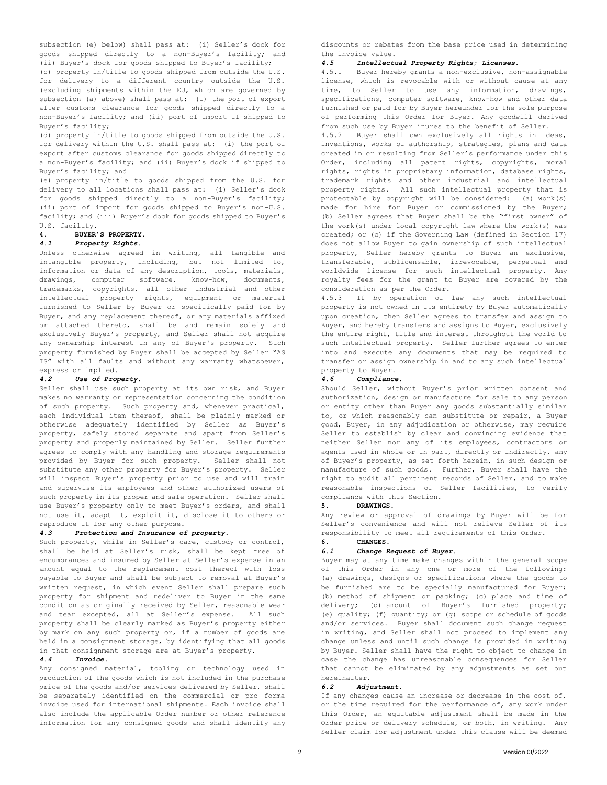subsection (e) below) shall pass at: (i) Seller's dock for goods shipped directly to a non-Buyer's facility; and (ii) Buyer's dock for goods shipped to Buyer's facility;

(c) property in/title to goods shipped from outside the U.S. for delivery to a different country outside the U.S. (excluding shipments within the EU, which are governed by subsection (a) above) shall pass at: (i) the port of export after customs clearance for goods shipped directly to a non-Buyer's facility; and (ii) port of import if shipped to Buyer's facility;

(d) property in/title to goods shipped from outside the U.S. for delivery within the U.S. shall pass at: (i) the port of export after customs clearance for goods shipped directly to a non-Buyer's facility; and (ii) Buyer's dock if shipped to Buyer's facility; and

(e) property in/title to goods shipped from the U.S. for delivery to all locations shall pass at: (i) Seller's dock for goods shipped directly to a non-Buyer's facility; (ii) port of import for goods shipped to Buyer's non-U.S. facility; and (iii) Buyer's dock for goods shipped to Buyer's U.S. facility.

# **4. BUYER'S PROPERTY.**

## *4.1 Property Rights.*

Unless otherwise agreed in writing, all tangible and intangible property, including, but not limited to, information or data of any description, tools, materials, drawings, computer software, know-how, documents, trademarks, copyrights, all other industrial and other intellectual property rights, equipment or material furnished to Seller by Buyer or specifically paid for by Buyer, and any replacement thereof, or any materials affixed or attached thereto, shall be and remain solely and exclusively Buyer's property, and Seller shall not acquire any ownership interest in any of Buyer's property. Such property furnished by Buyer shall be accepted by Seller "AS IS" with all faults and without any warranty whatsoever, express or implied.

#### *4.2 Use of Property.*

Seller shall use such property at its own risk, and Buyer makes no warranty or representation concerning the condition of such property. Such property and, whenever practical, each individual item thereof, shall be plainly marked or otherwise adequately identified by Seller as Buyer's property, safely stored separate and apart from Seller's property and properly maintained by Seller. Seller further agrees to comply with any handling and storage requirements provided by Buyer for such property. Seller shall not substitute any other property for Buyer's property. Seller will inspect Buyer's property prior to use and will train and supervise its employees and other authorized users of such property in its proper and safe operation. Seller shall use Buyer's property only to meet Buyer's orders, and shall not use it, adapt it, exploit it, disclose it to others or reproduce it for any other purpose.

#### *4.3 Protection and Insurance of property.*

Such property, while in Seller's care, custody or control, shall be held at Seller's risk, shall be kept free of encumbrances and insured by Seller at Seller's expense in an amount equal to the replacement cost thereof with loss payable to Buyer and shall be subject to removal at Buyer's written request, in which event Seller shall prepare such property for shipment and redeliver to Buyer in the same condition as originally received by Seller, reasonable wear and tear excepted, all at Seller's expense. All such property shall be clearly marked as Buyer's property either by mark on any such property or, if a number of goods are held in a consignment storage, by identifying that all goods in that consignment storage are at Buyer's property.

## *4.4 Invoice.*

Any consigned material, tooling or technology used in production of the goods which is not included in the purchase price of the goods and/or services delivered by Seller, shall be separately identified on the commercial or pro forma invoice used for international shipments. Each invoice shall also include the applicable Order number or other reference information for any consigned goods and shall identify any

discounts or rebates from the base price used in determining the invoice value.

#### *4.5 Intellectual Property Rights; Licenses.*

4.5.1 Buyer hereby grants a non-exclusive, non-assignable license, which is revocable with or without cause at any time, to Seller to use any information, drawings, specifications, computer software, know-how and other data furnished or paid for by Buyer hereunder for the sole purpose of performing this Order for Buyer. Any goodwill derived from such use by Buyer inures to the benefit of Seller.

4.5.2 Buyer shall own exclusively all rights in ideas, inventions, works of authorship, strategies, plans and data created in or resulting from Seller's performance under this Order, including all patent rights, copyrights, moral rights, rights in proprietary information, database rights, trademark rights and other industrial and intellectual property rights. All such intellectual property that is protectable by copyright will be considered: (a) work(s) made for hire for Buyer or commissioned by the Buyer; (b) Seller agrees that Buyer shall be the "first owner" of the work(s) under local copyright law where the work(s) was created; or (c) if the Governing Law (defined in Section 17) does not allow Buyer to gain ownership of such intellectual property, Seller hereby grants to Buyer an exclusive, transferable, sublicensable, irrevocable, perpetual and worldwide license for such intellectual property. Any royalty fees for the grant to Buyer are covered by the consideration as per the Order.

4.5.3 If by operation of law any such intellectual property is not owned in its entirety by Buyer automatically upon creation, then Seller agrees to transfer and assign to Buyer, and hereby transfers and assigns to Buyer, exclusively the entire right, title and interest throughout the world to such intellectual property. Seller further agrees to enter into and execute any documents that may be required to transfer or assign ownership in and to any such intellectual property to Buyer.

#### *4.6 Compliance.*

Should Seller, without Buyer's prior written consent and authorization, design or manufacture for sale to any person or entity other than Buyer any goods substantially similar to, or which reasonably can substitute or repair, a Buyer good, Buyer, in any adjudication or otherwise, may require Seller to establish by clear and convincing evidence that neither Seller nor any of its employees, contractors or agents used in whole or in part, directly or indirectly, any of Buyer's property, as set forth herein, in such design or manufacture of such goods. Further, Buyer shall have the right to audit all pertinent records of Seller, and to make reasonable inspections of Seller facilities, to verify compliance with this Section.

## **5. DRAWINGS.**

Any review or approval of drawings by Buyer will be for Seller's convenience and will not relieve Seller of its responsibility to meet all requirements of this Order.

# **6. CHANGES.**

## *6.1 Change Request of Buyer.*

Buyer may at any time make changes within the general scope of this Order in any one or more of the following: (a) drawings, designs or specifications where the goods to be furnished are to be specially manufactured for Buyer; (b) method of shipment or packing; (c) place and time of delivery; (d) amount of Buyer's furnished property; (e) quality; (f) quantity; or (g) scope or schedule of goods and/or services. Buyer shall document such change request in writing, and Seller shall not proceed to implement any change unless and until such change is provided in writing by Buyer. Seller shall have the right to object to change in case the change has unreasonable consequences for Seller that cannot be eliminated by any adjustments as set out hereinafter.

#### *6.2 Adjustment.*

If any changes cause an increase or decrease in the cost of, or the time required for the performance of, any work under this Order, an equitable adjustment shall be made in the Order price or delivery schedule, or both, in writing. Any Seller claim for adjustment under this clause will be deemed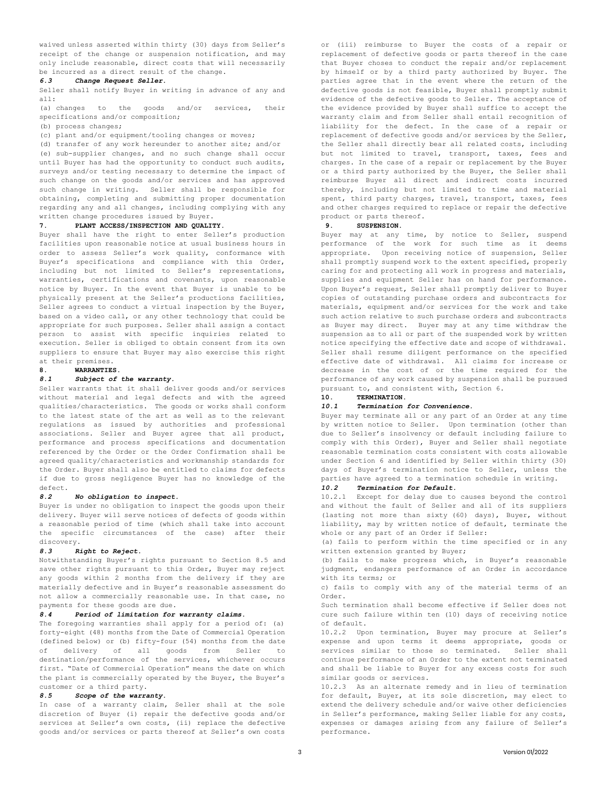waived unless asserted within thirty (30) days from Seller's receipt of the change or suspension notification, and may only include reasonable, direct costs that will necessarily be incurred as a direct result of the change.

#### *6.3 Change Request Seller.*

Seller shall notify Buyer in writing in advance of any and all:

(a) changes to the goods and/or services, their specifications and/or composition;

(b) process changes;

(c) plant and/or equipment/tooling changes or moves;

(d) transfer of any work hereunder to another site; and/or (e) sub-supplier changes, and no such change shall occur until Buyer has had the opportunity to conduct such audits, surveys and/or testing necessary to determine the impact of such change on the goods and/or services and has approved such change in writing. Seller shall be responsible for obtaining, completing and submitting proper documentation regarding any and all changes, including complying with any written change procedures issued by Buyer.

## **7. PLANT ACCESS/INSPECTION AND QUALITY.**

Buyer shall have the right to enter Seller's production facilities upon reasonable notice at usual business hours in order to assess Seller's work quality, conformance with Buyer's specifications and compliance with this Order, including but not limited to Seller's representations, warranties, certifications and covenants, upon reasonable notice by Buyer. In the event that Buyer is unable to be physically present at the Seller's productions facilities, Seller agrees to conduct a virtual inspection by the Buyer, based on a video call, or any other technology that could be appropriate for such purposes. Seller shall assign a contact person to assist with specific inquiries related to execution. Seller is obliged to obtain consent from its own suppliers to ensure that Buyer may also exercise this right at their premises.

#### **8. WARRANTIES.**

#### *8.1 Subject of the warranty.*

Seller warrants that it shall deliver goods and/or services without material and legal defects and with the agreed qualities/characteristics. The goods or works shall conform to the latest state of the art as well as to the relevant regulations as issued by authorities and professional associations. Seller and Buyer agree that all product, performance and process specifications and documentation referenced by the Order or the Order Confirmation shall be agreed quality/characteristics and workmanship standards for the Order. Buyer shall also be entitled to claims for defects if due to gross negligence Buyer has no knowledge of the defect.

## *8.2 No obligation to inspect.*

Buyer is under no obligation to inspect the goods upon their delivery. Buyer will serve notices of defects of goods within a reasonable period of time (which shall take into account the specific circumstances of the case) after their discovery.

#### *8.3 Right to Reject.*

Notwithstanding Buyer's rights pursuant to Section 8.5 and save other rights pursuant to this Order, Buyer may reject any goods within 2 months from the delivery if they are materially defective and in Buyer's reasonable assessment do not allow a commercially reasonable use. In that case, no payments for these goods are due.

#### *8.4 Period of limitation for warranty claims.*

The foregoing warranties shall apply for a period of: (a) forty-eight (48) months from the Date of Commercial Operation (defined below) or (b) fifty-four (54) months from the date of delivery of all goods from Seller to destination/performance of the services, whichever occurs first. "Date of Commercial Operation" means the date on which the plant is commercially operated by the Buyer, the Buyer's customer or a third party.

#### *8.5 Scope of the warranty.*

In case of a warranty claim, Seller shall at the sole discretion of Buyer (i) repair the defective goods and/or services at Seller's own costs, (ii) replace the defective goods and/or services or parts thereof at Seller's own costs

or (iii) reimburse to Buyer the costs of a repair or replacement of defective goods or parts thereof in the case that Buyer choses to conduct the repair and/or replacement by himself or by a third party authorized by Buyer. The parties agree that in the event where the return of the defective goods is not feasible, Buyer shall promptly submit evidence of the defective goods to Seller. The acceptance of the evidence provided by Buyer shall suffice to accept the warranty claim and from Seller shall entail recognition of liability for the defect. In the case of a repair or replacement of defective goods and/or services by the Seller, the Seller shall directly bear all related costs, including but not limited to travel, transport, taxes, fees and charges. In the case of a repair or replacement by the Buyer or a third party authorized by the Buyer, the Seller shall reimburse Buyer all direct and indirect costs incurred thereby, including but not limited to time and material spent, third party charges, travel, transport, taxes, fees and other charges required to replace or repair the defective product or parts thereof.

#### **9. SUSPENSION.**

Buyer may at any time, by notice to Seller, suspend performance of the work for such time as it deems appropriate. Upon receiving notice of suspension, Seller shall promptly suspend work to the extent specified, properly caring for and protecting all work in progress and materials, supplies and equipment Seller has on hand for performance. Upon Buyer's request, Seller shall promptly deliver to Buyer copies of outstanding purchase orders and subcontracts for materials, equipment and/or services for the work and take such action relative to such purchase orders and subcontracts as Buyer may direct. Buyer may at any time withdraw the suspension as to all or part of the suspended work by written notice specifying the effective date and scope of withdrawal. Seller shall resume diligent performance on the specified effective date of withdrawal. All claims for increase or decrease in the cost of or the time required for the performance of any work caused by suspension shall be pursued pursuant to, and consistent with, Section 6.

# **10. TERMINATION.**

## *10.1 Termination for Convenience.*

Buyer may terminate all or any part of an Order at any time by written notice to Seller. Upon termination (other than due to Seller's insolvency or default including failure to comply with this Order), Buyer and Seller shall negotiate reasonable termination costs consistent with costs allowable under Section 6 and identified by Seller within thirty (30) days of Buyer's termination notice to Seller, unless the parties have agreed to a termination schedule in writing.

## *10.2 Termination for Default.*

10.2.1 Except for delay due to causes beyond the control and without the fault of Seller and all of its suppliers (lasting not more than sixty (60) days), Buyer, without liability, may by written notice of default, terminate the whole or any part of an Order if Seller:

(a) fails to perform within the time specified or in any written extension granted by Buyer;

(b) fails to make progress which, in Buyer's reasonable judgment, endangers performance of an Order in accordance with its terms; or

c) fails to comply with any of the material terms of an Order.

Such termination shall become effective if Seller does not cure such failure within ten (10) days of receiving notice of default.

10.2.2 Upon termination, Buyer may procure at Seller's expense and upon terms it deems appropriate, goods or services similar to those so terminated. Seller shall continue performance of an Order to the extent not terminated and shall be liable to Buyer for any excess costs for such similar goods or services.

10.2.3 As an alternate remedy and in lieu of termination for default, Buyer, at its sole discretion, may elect to extend the delivery schedule and/or waive other deficiencies in Seller's performance, making Seller liable for any costs, expenses or damages arising from any failure of Seller's performance.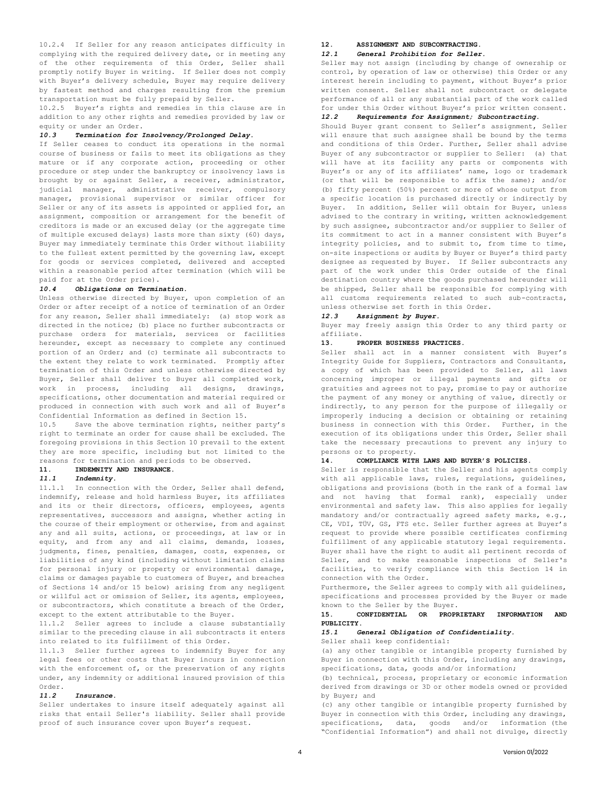10.2.4 If Seller for any reason anticipates difficulty in complying with the required delivery date, or in meeting any of the other requirements of this Order, Seller shall promptly notify Buyer in writing. If Seller does not comply with Buyer's delivery schedule, Buyer may require delivery by fastest method and charges resulting from the premium transportation must be fully prepaid by Seller.

10.2.5 Buyer's rights and remedies in this clause are in addition to any other rights and remedies provided by law or equity or under an Order.

## *10.3 Termination for Insolvency/Prolonged Delay.*

If Seller ceases to conduct its operations in the normal course of business or fails to meet its obligations as they mature or if any corporate action, proceeding or other procedure or step under the bankruptcy or insolvency laws is brought by or against Seller, a receiver, administrator, judicial manager, administrative receiver, compulsory manager, provisional supervisor or similar officer for Seller or any of its assets is appointed or applied for, an assignment, composition or arrangement for the benefit of creditors is made or an excused delay (or the aggregate time of multiple excused delays) lasts more than sixty (60) days, Buyer may immediately terminate this Order without liability to the fullest extent permitted by the governing law, except for goods or services completed, delivered and accepted within a reasonable period after termination (which will be paid for at the Order price).

## *10.4 Obligations on Termination.*

Unless otherwise directed by Buyer, upon completion of an Order or after receipt of a notice of termination of an Order for any reason, Seller shall immediately: (a) stop work as directed in the notice; (b) place no further subcontracts or purchase orders for materials, services or facilities hereunder, except as necessary to complete any continued portion of an Order; and (c) terminate all subcontracts to the extent they relate to work terminated. Promptly after termination of this Order and unless otherwise directed by Buyer, Seller shall deliver to Buyer all completed work, work in process, including all designs, drawings, specifications, other documentation and material required or produced in connection with such work and all of Buyer's Confidential Information as defined in Section 15.

10.5 Save the above termination rights, neither party's right to terminate an order for cause shall be excluded. The foregoing provisions in this Section 10 prevail to the extent they are more specific, including but not limited to the reasons for termination and periods to be observed.

## **11. INDEMNITY AND INSURANCE.**

#### *11.1 Indemnity.*

11.1.1 In connection with the Order, Seller shall defend, indemnify, release and hold harmless Buyer, its affiliates and its or their directors, officers, employees, agents representatives, successors and assigns, whether acting in the course of their employment or otherwise, from and against any and all suits, actions, or proceedings, at law or in equity, and from any and all claims, demands, losses, judgments, fines, penalties, damages, costs, expenses, or liabilities of any kind (including without limitation claims for personal injury or property or environmental damage, claims or damages payable to customers of Buyer, and breaches of Sections 14 and/or 15 below) arising from any negligent or willful act or omission of Seller, its agents, employees, or subcontractors, which constitute a breach of the Order, except to the extent attributable to the Buyer.

11.1.2 Seller agrees to include a clause substantially similar to the preceding clause in all subcontracts it enters into related to its fulfillment of this Order.

11.1.3 Seller further agrees to indemnify Buyer for any legal fees or other costs that Buyer incurs in connection with the enforcement of, or the preservation of any rights under, any indemnity or additional insured provision of this Order.

#### *11.2 Insurance.*

Seller undertakes to insure itself adequately against all risks that entail Seller's liability. Seller shall provide proof of such insurance cover upon Buyer's request.

#### **12. ASSIGNMENT AND SUBCONTRACTING.**

#### *12.1 General Prohibition for Seller.*

Seller may not assign (including by change of ownership or control, by operation of law or otherwise) this Order or any interest herein including to payment, without Buyer's prior written consent. Seller shall not subcontract or delegate performance of all or any substantial part of the work called for under this Order without Buyer's prior written consent.

## *12.2 Requirements for Assignment; Subcontracting.*

Should Buyer grant consent to Seller's assignment, Seller will ensure that such assignee shall be bound by the terms and conditions of this Order. Further, Seller shall advise Buyer of any subcontractor or supplier to Seller: (a) that will have at its facility any parts or components with Buyer's or any of its affiliates' name, logo or trademark (or that will be responsible to affix the same); and/or (b) fifty percent (50%) percent or more of whose output from a specific location is purchased directly or indirectly by Buyer. In addition, Seller will obtain for Buyer, unless advised to the contrary in writing, written acknowledgement by such assignee, subcontractor and/or supplier to Seller of its commitment to act in a manner consistent with Buyer's integrity policies, and to submit to, from time to time, on-site inspections or audits by Buyer or Buyer's third party designee as requested by Buyer. If Seller subcontracts any part of the work under this Order outside of the final destination country where the goods purchased hereunder will be shipped, Seller shall be responsible for complying with all customs requirements related to such sub-contracts, unless otherwise set forth in this Order.

#### *12.3 Assignment by Buyer.*

Buyer may freely assign this Order to any third party or affiliate.

## **13. PROPER BUSINESS PRACTICES.**

Seller shall act in a manner consistent with Buyer's Integrity Guide for Suppliers, Contractors and Consultants, a copy of which has been provided to Seller, all laws concerning improper or illegal payments and gifts or gratuities and agrees not to pay, promise to pay or authorize the payment of any money or anything of value, directly or indirectly, to any person for the purpose of illegally or improperly inducing a decision or obtaining or retaining business in connection with this Order. Further, in the execution of its obligations under this Order, Seller shall take the necessary precautions to prevent any injury to persons or to property.

## **14. COMPLIANCE WITH LAWS AND BUYER'S POLICIES.**

Seller is responsible that the Seller and his agents comply with all applicable laws, rules, regulations, guidelines, obligations and provisions (both in the rank of a formal law and not having that formal rank), especially under environmental and safety law. This also applies for legally mandatory and/or contractually agreed safety marks, e.g., CE, VDI, TÜV, GS, FTS etc. Seller further agrees at Buyer's request to provide where possible certificates confirming fulfillment of any applicable statutory legal requirements. Buyer shall have the right to audit all pertinent records of Seller, and to make reasonable inspections of Seller's facilities, to verify compliance with this Section 14 in connection with the Order.

Furthermore, the Seller agrees to comply with all guidelines, specifications and processes provided by the Buyer or made known to the Seller by the Buyer.

#### **15. CONFIDENTIAL OR PROPRIETARY INFORMATION AND PUBLICITY.**

## *15.1 General Obligation of Confidentiality.*

Seller shall keep confidential:

(a) any other tangible or intangible property furnished by Buyer in connection with this Order, including any drawings, specifications, data, goods and/or information;

(b) technical, process, proprietary or economic information derived from drawings or 3D or other models owned or provided by Buyer; and

(c) any other tangible or intangible property furnished by Buyer in connection with this Order, including any drawings, specifications, data, goods and/or information (the "Confidential Information") and shall not divulge, directly